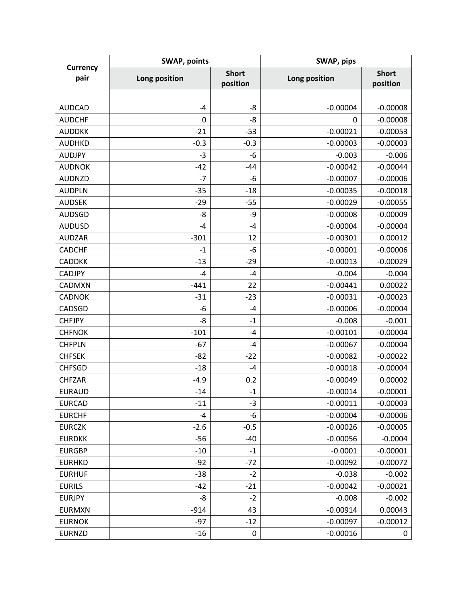| <b>Currency</b><br>pair | <b>SWAP, points</b> |                          | SWAP, pips    |                          |
|-------------------------|---------------------|--------------------------|---------------|--------------------------|
|                         | Long position       | <b>Short</b><br>position | Long position | <b>Short</b><br>position |
|                         |                     |                          |               |                          |
| <b>AUDCAD</b>           | $-4$                | $-8$                     | $-0.00004$    | $-0.00008$               |
| <b>AUDCHF</b>           | $\mathbf 0$         | $-8$                     | 0             | $-0.00008$               |
| <b>AUDDKK</b>           | $-21$               | $-53$                    | $-0.00021$    | $-0.00053$               |
| <b>AUDHKD</b>           | $-0.3$              | $-0.3$                   | $-0.00003$    | $-0.00003$               |
| <b>AUDJPY</b>           | $-3$                | $-6$                     | $-0.003$      | $-0.006$                 |
| <b>AUDNOK</b>           | $-42$               | $-44$                    | $-0.00042$    | $-0.00044$               |
| <b>AUDNZD</b>           | $-7$                | -6                       | $-0.00007$    | $-0.00006$               |
| <b>AUDPLN</b>           | $-35$               | $-18$                    | $-0.00035$    | $-0.00018$               |
| <b>AUDSEK</b>           | $-29$               | $-55$                    | $-0.00029$    | $-0.00055$               |
| <b>AUDSGD</b>           | -8                  | -9                       | $-0.00008$    | $-0.00009$               |
| <b>AUDUSD</b>           | $-4$                | $-4$                     | $-0.00004$    | $-0.00004$               |
| <b>AUDZAR</b>           | $-301$              | 12                       | $-0.00301$    | 0.00012                  |
| <b>CADCHF</b>           | $-1$                | $-6$                     | $-0.00001$    | $-0.00006$               |
| <b>CADDKK</b>           | $-13$               | $-29$                    | $-0.00013$    | $-0.00029$               |
| <b>CADJPY</b>           | $-4$                | $-4$                     | $-0.004$      | $-0.004$                 |
| <b>CADMXN</b>           | $-441$              | 22                       | $-0.00441$    | 0.00022                  |
| <b>CADNOK</b>           | $-31$               | $-23$                    | $-0.00031$    | $-0.00023$               |
| CADSGD                  | -6                  | $-4$                     | $-0.00006$    | $-0.00004$               |
| <b>CHFJPY</b>           | -8                  | $-1$                     | $-0.008$      | $-0.001$                 |
| <b>CHFNOK</b>           | $-101$              | $-4$                     | $-0.00101$    | $-0.00004$               |
| <b>CHFPLN</b>           | $-67$               | $-4$                     | $-0.00067$    | $-0.00004$               |
| <b>CHFSEK</b>           | $-82$               | $-22$                    | $-0.00082$    | $-0.00022$               |
| <b>CHFSGD</b>           | $-18$               | $-4$                     | $-0.00018$    | $-0.00004$               |
| <b>CHFZAR</b>           | $-4.9$              | 0.2                      | $-0.00049$    | 0.00002                  |
| <b>EURAUD</b>           | $-14$               | $-1$                     | $-0.00014$    | $-0.00001$               |
| <b>EURCAD</b>           | $-11$               | $-3$                     | $-0.00011$    | $-0.00003$               |
| <b>EURCHF</b>           | $-4$                | $-6$                     | $-0.00004$    | $-0.00006$               |
| <b>EURCZK</b>           | $-2.6$              | $-0.5$                   | $-0.00026$    | $-0.00005$               |
| <b>EURDKK</b>           | $-56$               | -40                      | $-0.00056$    | $-0.0004$                |
| <b>EURGBP</b>           | $-10$               | $-1$                     | $-0.0001$     | $-0.00001$               |
| <b>EURHKD</b>           | $-92$               | $-72$                    | $-0.00092$    | $-0.00072$               |
| <b>EURHUF</b>           | $-38$               | $-2$                     | $-0.038$      | $-0.002$                 |
| <b>EURILS</b>           | $-42$               | $-21$                    | $-0.00042$    | $-0.00021$               |
| <b>EURJPY</b>           | -8                  | $-2$                     | $-0.008$      | $-0.002$                 |
| <b>EURMXN</b>           | $-914$              | 43                       | $-0.00914$    | 0.00043                  |
| <b>EURNOK</b>           | $-97$               | $-12$                    | $-0.00097$    | $-0.00012$               |
| <b>EURNZD</b>           | $-16$               | 0                        | $-0.00016$    | 0                        |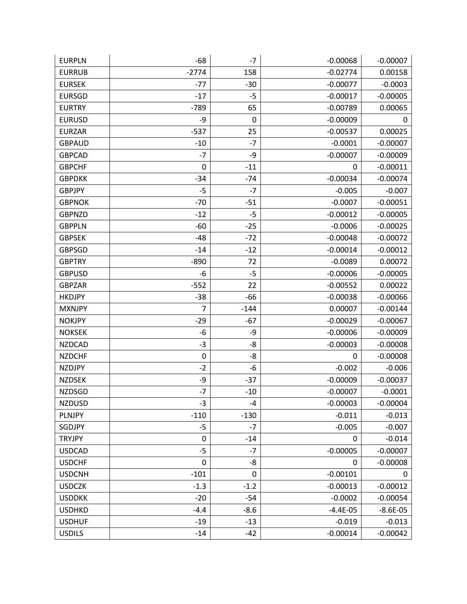| <b>EURPLN</b> | $-68$            | $-7$   | $-0.00068$ | $-0.00007$ |
|---------------|------------------|--------|------------|------------|
| <b>EURRUB</b> | $-2774$          | 158    | $-0.02774$ | 0.00158    |
| <b>EURSEK</b> | $-77$            | $-30$  | $-0.00077$ | $-0.0003$  |
| <b>EURSGD</b> | $-17$            | -5     | $-0.00017$ | $-0.00005$ |
| <b>EURTRY</b> | $-789$           | 65     | $-0.00789$ | 0.00065    |
| <b>EURUSD</b> | -9               | 0      | $-0.00009$ | 0          |
| <b>EURZAR</b> | $-537$           | 25     | $-0.00537$ | 0.00025    |
| <b>GBPAUD</b> | $-10$            | $-7$   | $-0.0001$  | $-0.00007$ |
| <b>GBPCAD</b> | $-7$             | -9     | $-0.00007$ | $-0.00009$ |
| <b>GBPCHF</b> | 0                | $-11$  | 0          | $-0.00011$ |
| <b>GBPDKK</b> | $-34$            | $-74$  | $-0.00034$ | $-0.00074$ |
| <b>GBPJPY</b> | $-5$             | $-7$   | $-0.005$   | $-0.007$   |
| <b>GBPNOK</b> | -70              | $-51$  | $-0.0007$  | $-0.00051$ |
| <b>GBPNZD</b> | $-12$            | $-5$   | $-0.00012$ | $-0.00005$ |
| <b>GBPPLN</b> | $-60$            | $-25$  | $-0.0006$  | $-0.00025$ |
| <b>GBPSEK</b> | $-48$            | $-72$  | $-0.00048$ | $-0.00072$ |
| <b>GBPSGD</b> | $-14$            | $-12$  | $-0.00014$ | $-0.00012$ |
| <b>GBPTRY</b> | $-890$           | 72     | $-0.0089$  | 0.00072    |
| <b>GBPUSD</b> | -6               | $-5$   | $-0.00006$ | $-0.00005$ |
| <b>GBPZAR</b> | $-552$           | 22     | $-0.00552$ | 0.00022    |
| <b>HKDJPY</b> | $-38$            | -66    | $-0.00038$ | $-0.00066$ |
| <b>MXNJPY</b> | 7                | $-144$ | 0.00007    | $-0.00144$ |
| <b>NOKJPY</b> | $-29$            | $-67$  | $-0.00029$ | $-0.00067$ |
| <b>NOKSEK</b> | -6               | -9     | $-0.00006$ | $-0.00009$ |
| <b>NZDCAD</b> | $-3$             | -8     | $-0.00003$ | $-0.00008$ |
| <b>NZDCHF</b> | $\boldsymbol{0}$ | -8     | 0          | $-0.00008$ |
| <b>NZDJPY</b> | $-2$             | -6     | $-0.002$   | $-0.006$   |
| <b>NZDSEK</b> | -9               | $-37$  | $-0.00009$ | $-0.00037$ |
| <b>NZDSGD</b> | $-7$             | $-10$  | $-0.00007$ | $-0.0001$  |
| <b>NZDUSD</b> | $-3$             | -4     | $-0.00003$ | $-0.00004$ |
| PLNJPY        | $-110$           | $-130$ | $-0.011$   | $-0.013$   |
| SGDJPY        | $-5$             | $-7$   | $-0.005$   | $-0.007$   |
| <b>TRYJPY</b> | $\pmb{0}$        | $-14$  | 0          | $-0.014$   |
| <b>USDCAD</b> | $-5$             | $-7$   | $-0.00005$ | $-0.00007$ |
| <b>USDCHF</b> | $\pmb{0}$        | -8     | 0          | $-0.00008$ |
| <b>USDCNH</b> | $-101$           | 0      | $-0.00101$ | 0          |
| <b>USDCZK</b> | $-1.3$           | $-1.2$ | $-0.00013$ | $-0.00012$ |
| <b>USDDKK</b> | $-20$            | $-54$  | $-0.0002$  | $-0.00054$ |
| <b>USDHKD</b> | $-4.4$           | $-8.6$ | $-4.4E-05$ | $-8.6E-05$ |
| <b>USDHUF</b> | $-19$            | $-13$  | $-0.019$   | $-0.013$   |
| <b>USDILS</b> | $-14$            | $-42$  | $-0.00014$ | $-0.00042$ |